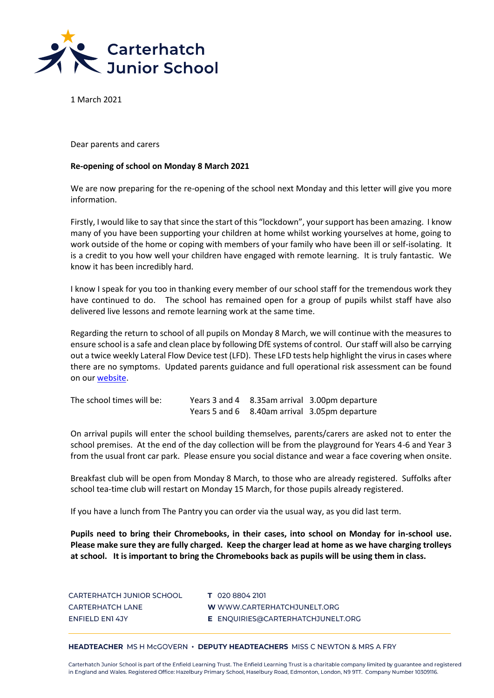

1 March 2021

Dear parents and carers

## **Re-opening of school on Monday 8 March 2021**

We are now preparing for the re-opening of the school next Monday and this letter will give you more information.

Firstly, I would like to say that since the start of this "lockdown", your support has been amazing. I know many of you have been supporting your children at home whilst working yourselves at home, going to work outside of the home or coping with members of your family who have been ill or self-isolating. It is a credit to you how well your children have engaged with remote learning. It is truly fantastic. We know it has been incredibly hard.

I know I speak for you too in thanking every member of our school staff for the tremendous work they have continued to do. The school has remained open for a group of pupils whilst staff have also delivered live lessons and remote learning work at the same time.

Regarding the return to school of all pupils on Monday 8 March, we will continue with the measures to ensure school is a safe and clean place by following DfE systems of control. Our staff will also be carrying out a twice weekly Lateral Flow Device test (LFD). These LFD tests help highlight the virus in cases where there are no symptoms. Updated parents guidance and full operational risk assessment can be found on our [website.](https://www.carterhatchjunelt.org/page/?title=Covid%2D19&pid=170)

| The school times will be: |  | Years 3 and 4 8.35am arrival 3.00pm departure |
|---------------------------|--|-----------------------------------------------|
|                           |  | Years 5 and 6 8.40am arrival 3.05pm departure |

On arrival pupils will enter the school building themselves, parents/carers are asked not to enter the school premises. At the end of the day collection will be from the playground for Years 4-6 and Year 3 from the usual front car park. Please ensure you social distance and wear a face covering when onsite.

Breakfast club will be open from Monday 8 March, to those who are already registered. Suffolks after school tea-time club will restart on Monday 15 March, for those pupils already registered.

If you have a lunch from The Pantry you can order via the usual way, as you did last term.

**Pupils need to bring their Chromebooks, in their cases, into school on Monday for in-school use. Please make sure they are fully charged. Keep the charger lead at home as we have charging trolleys at school. It is important to bring the Chromebooks back as pupils will be using them in class.** 

| CARTERHATCH JUNIOR SCHOOL |  |
|---------------------------|--|
| <b>CARTERHATCH LANE</b>   |  |
| <b>ENFIELD EN14JY</b>     |  |

T 020 8804 2101 W WWW.CARTERHATCHJUNELT.ORG E ENQUIRIES@CARTERHATCHJUNELT.ORG

## HEADTEACHER MS H McGOVERN · DEPUTY HEADTEACHERS MISS C NEWTON & MRS A FRY

Carterhatch Junior School is part of the Enfield Learning Trust. The Enfield Learning Trust is a charitable company limited by guarantee and registered in England and Wales. Registered Office: Hazelbury Primary School, Haselbury Road, Edmonton, London, N9 9TT. Company Number 10309116.